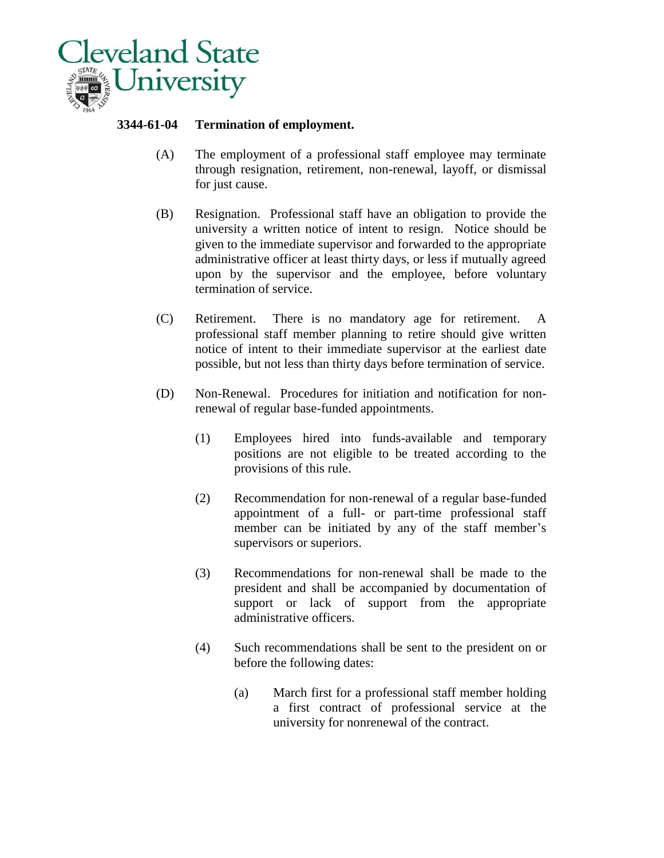

## **3344-61-04 Termination of employment.**

- (A) The employment of a professional staff employee may terminate through resignation, retirement, non-renewal, layoff, or dismissal for just cause.
- (B) Resignation. Professional staff have an obligation to provide the university a written notice of intent to resign. Notice should be given to the immediate supervisor and forwarded to the appropriate administrative officer at least thirty days, or less if mutually agreed upon by the supervisor and the employee, before voluntary termination of service.
- (C) Retirement. There is no mandatory age for retirement. A professional staff member planning to retire should give written notice of intent to their immediate supervisor at the earliest date possible, but not less than thirty days before termination of service.
- (D) Non-Renewal. Procedures for initiation and notification for nonrenewal of regular base-funded appointments.
	- (1) Employees hired into funds-available and temporary positions are not eligible to be treated according to the provisions of this rule.
	- (2) Recommendation for non-renewal of a regular base-funded appointment of a full- or part-time professional staff member can be initiated by any of the staff member's supervisors or superiors.
	- (3) Recommendations for non-renewal shall be made to the president and shall be accompanied by documentation of support or lack of support from the appropriate administrative officers.
	- (4) Such recommendations shall be sent to the president on or before the following dates:
		- (a) March first for a professional staff member holding a first contract of professional service at the university for nonrenewal of the contract.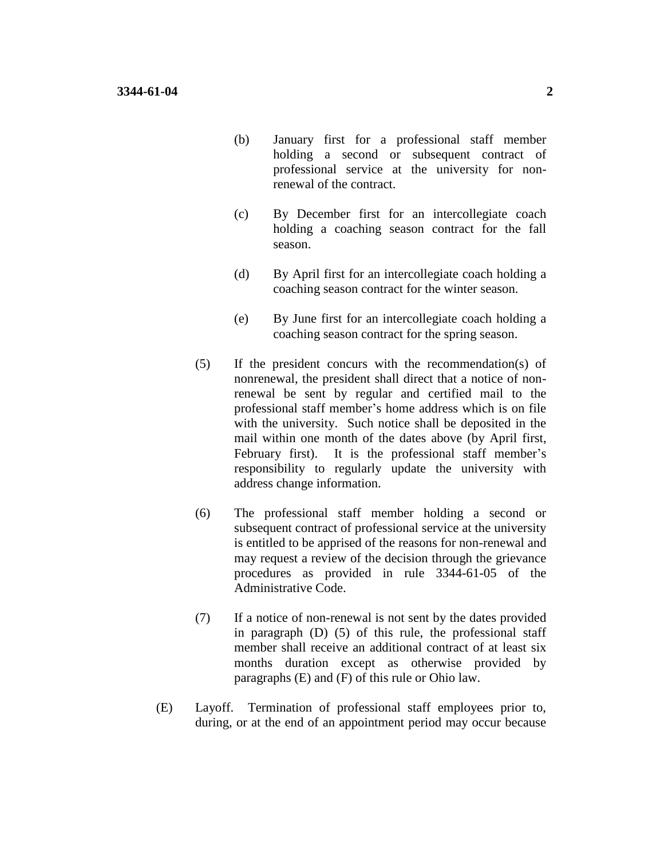- (b) January first for a professional staff member holding a second or subsequent contract of professional service at the university for nonrenewal of the contract.
- (c) By December first for an intercollegiate coach holding a coaching season contract for the fall season.
- (d) By April first for an intercollegiate coach holding a coaching season contract for the winter season.
- (e) By June first for an intercollegiate coach holding a coaching season contract for the spring season.
- (5) If the president concurs with the recommendation(s) of nonrenewal, the president shall direct that a notice of nonrenewal be sent by regular and certified mail to the professional staff member's home address which is on file with the university. Such notice shall be deposited in the mail within one month of the dates above (by April first, February first). It is the professional staff member's responsibility to regularly update the university with address change information.
- (6) The professional staff member holding a second or subsequent contract of professional service at the university is entitled to be apprised of the reasons for non-renewal and may request a review of the decision through the grievance procedures as provided in rule 3344-61-05 of the Administrative Code.
- (7) If a notice of non-renewal is not sent by the dates provided in paragraph (D) (5) of this rule, the professional staff member shall receive an additional contract of at least six months duration except as otherwise provided by paragraphs (E) and (F) of this rule or Ohio law.
- (E) Layoff. Termination of professional staff employees prior to, during, or at the end of an appointment period may occur because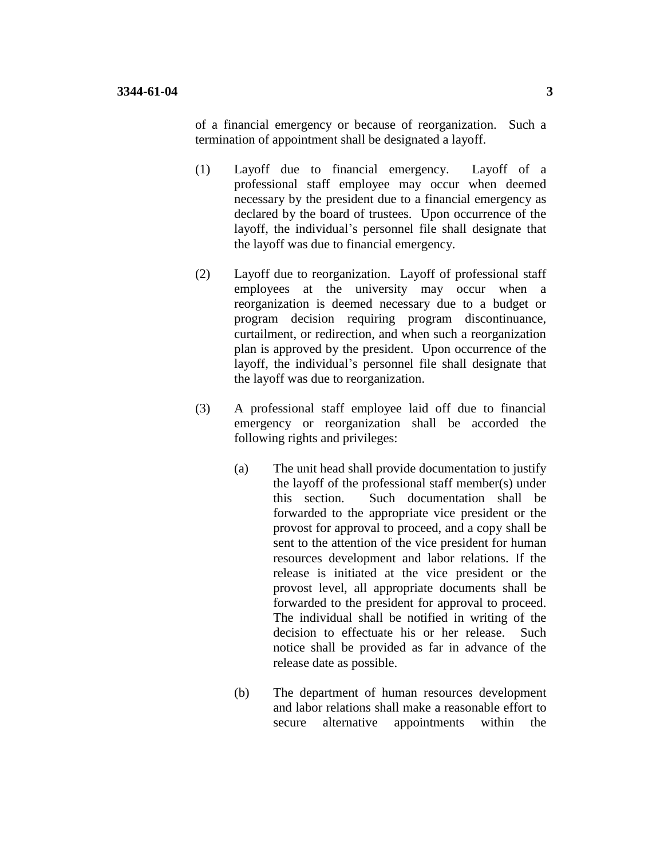of a financial emergency or because of reorganization. Such a termination of appointment shall be designated a layoff.

- (1) Layoff due to financial emergency. Layoff of a professional staff employee may occur when deemed necessary by the president due to a financial emergency as declared by the board of trustees. Upon occurrence of the layoff, the individual's personnel file shall designate that the layoff was due to financial emergency.
- (2) Layoff due to reorganization. Layoff of professional staff employees at the university may occur when a reorganization is deemed necessary due to a budget or program decision requiring program discontinuance, curtailment, or redirection, and when such a reorganization plan is approved by the president. Upon occurrence of the layoff, the individual's personnel file shall designate that the layoff was due to reorganization.
- (3) A professional staff employee laid off due to financial emergency or reorganization shall be accorded the following rights and privileges:
	- (a) The unit head shall provide documentation to justify the layoff of the professional staff member(s) under this section. Such documentation shall be forwarded to the appropriate vice president or the provost for approval to proceed, and a copy shall be sent to the attention of the vice president for human resources development and labor relations. If the release is initiated at the vice president or the provost level, all appropriate documents shall be forwarded to the president for approval to proceed. The individual shall be notified in writing of the decision to effectuate his or her release. Such notice shall be provided as far in advance of the release date as possible.
	- (b) The department of human resources development and labor relations shall make a reasonable effort to secure alternative appointments within the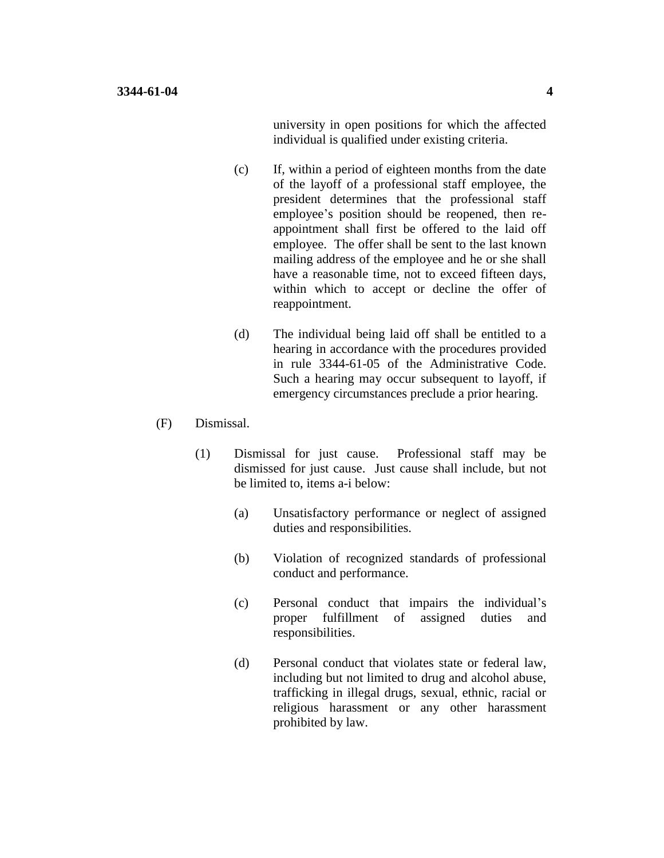university in open positions for which the affected individual is qualified under existing criteria.

- (c) If, within a period of eighteen months from the date of the layoff of a professional staff employee, the president determines that the professional staff employee's position should be reopened, then reappointment shall first be offered to the laid off employee. The offer shall be sent to the last known mailing address of the employee and he or she shall have a reasonable time, not to exceed fifteen days, within which to accept or decline the offer of reappointment.
- (d) The individual being laid off shall be entitled to a hearing in accordance with the procedures provided in rule 3344-61-05 of the Administrative Code. Such a hearing may occur subsequent to layoff, if emergency circumstances preclude a prior hearing.
- (F) Dismissal.
	- (1) Dismissal for just cause. Professional staff may be dismissed for just cause. Just cause shall include, but not be limited to, items a-i below:
		- (a) Unsatisfactory performance or neglect of assigned duties and responsibilities.
		- (b) Violation of recognized standards of professional conduct and performance.
		- (c) Personal conduct that impairs the individual's proper fulfillment of assigned duties and responsibilities.
		- (d) Personal conduct that violates state or federal law, including but not limited to drug and alcohol abuse, trafficking in illegal drugs, sexual, ethnic, racial or religious harassment or any other harassment prohibited by law.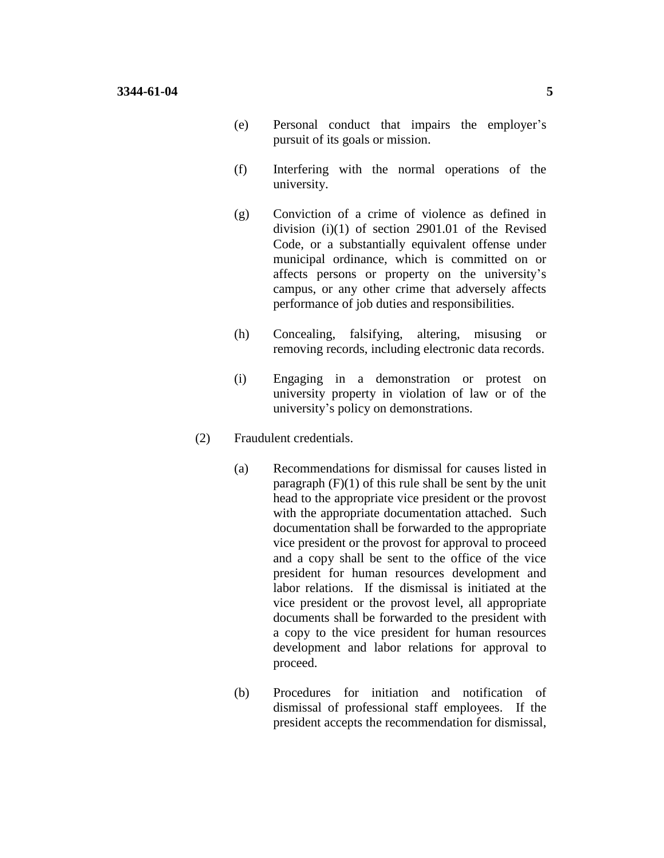- (e) Personal conduct that impairs the employer's pursuit of its goals or mission.
- (f) Interfering with the normal operations of the university.
- (g) Conviction of a crime of violence as defined in division (i)(1) of section 2901.01 of the Revised Code, or a substantially equivalent offense under municipal ordinance, which is committed on or affects persons or property on the university's campus, or any other crime that adversely affects performance of job duties and responsibilities.
- (h) Concealing, falsifying, altering, misusing or removing records, including electronic data records.
- (i) Engaging in a demonstration or protest on university property in violation of law or of the university's policy on demonstrations.
- (2) Fraudulent credentials.
	- (a) Recommendations for dismissal for causes listed in paragraph  $(F)(1)$  of this rule shall be sent by the unit head to the appropriate vice president or the provost with the appropriate documentation attached. Such documentation shall be forwarded to the appropriate vice president or the provost for approval to proceed and a copy shall be sent to the office of the vice president for human resources development and labor relations. If the dismissal is initiated at the vice president or the provost level, all appropriate documents shall be forwarded to the president with a copy to the vice president for human resources development and labor relations for approval to proceed.
	- (b) Procedures for initiation and notification of dismissal of professional staff employees. If the president accepts the recommendation for dismissal,